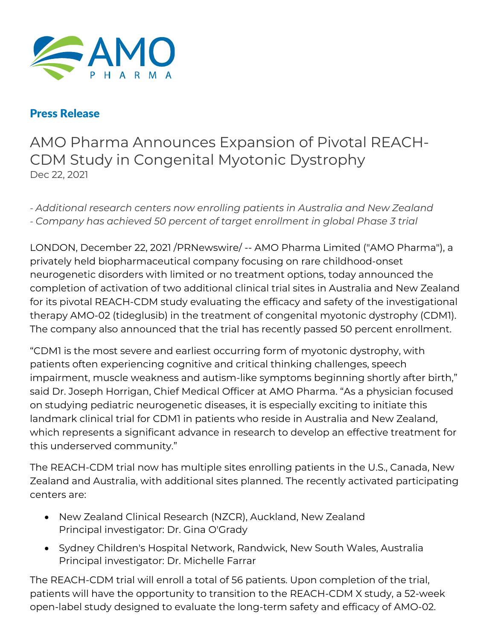

## Press Release

AMO Pharma Announces Expansion of Pivotal REACH-CDM Study in Congenital Myotonic Dystrophy Dec 22, 2021

*- Additional research centers now enrolling patients in Australia and New Zealand - Company has achieved 50 percent of target enrollment in global Phase 3 trial*

LONDON, December 22, 2021 /PRNewswire/ -- AMO Pharma Limited ("AMO Pharma"), a privately held biopharmaceutical company focusing on rare childhood-onset neurogenetic disorders with limited or no treatment options, today announced the completion of activation of two additional clinical trial sites in Australia and New Zealand for its pivotal REACH-CDM study evaluating the efficacy and safety of the investigational therapy AMO-02 (tideglusib) in the treatment of congenital myotonic dystrophy (CDM1). The company also announced that the trial has recently passed 50 percent enrollment.

"CDM1 is the most severe and earliest occurring form of myotonic dystrophy, with patients often experiencing cognitive and critical thinking challenges, speech impairment, muscle weakness and autism-like symptoms beginning shortly after birth," said Dr. Joseph Horrigan, Chief Medical Officer at AMO Pharma. "As a physician focused on studying pediatric neurogenetic diseases, it is especially exciting to initiate this landmark clinical trial for CDM1 in patients who reside in Australia and New Zealand, which represents a significant advance in research to develop an effective treatment for this underserved community."

The REACH-CDM trial now has multiple sites enrolling patients in the U.S., Canada, New Zealand and Australia, with additional sites planned. The recently activated participating centers are:

- New Zealand Clinical Research (NZCR), Auckland, New Zealand Principal investigator: Dr. Gina O'Grady
- Sydney Children's Hospital Network, Randwick, New South Wales, Australia Principal investigator: Dr. Michelle Farrar

The REACH-CDM trial will enroll a total of 56 patients. Upon completion of the trial, patients will have the opportunity to transition to the REACH-CDM X study, a 52-week open-label study designed to evaluate the long-term safety and efficacy of AMO-02.